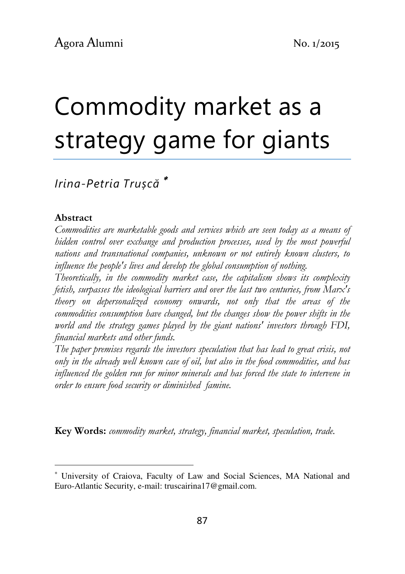# Commodity market as a strategy game for giants

# Irina-Petria Trușcă <sup>∗</sup>

### Abstract

l

Commodities are marketable goods and services which are seen today as a means of hidden control over exchange and production processes, used by the most powerful nations and transnational companies, unknown or not entirely known clusters, to influence the people's lives and develop the global consumption of nothing.

Theoretically, in the commodity market case, the capitalism shows its complexity fetish, surpasses the ideological barriers and over the last two centuries, from Marx's theory on depersonalized economy onwards, not only that the areas of the commodities consumption have changed, but the changes show the power shifts in the world and the strategy games played by the giant nations' investors through FDI, financial markets and other funds.

The paper premises regards the investors speculation that has lead to great crisis, not only in the already well known case of oil, but also in the food commodities, and has influenced the golden run for minor minerals and has forced the state to intervene in order to ensure food security or diminished famine.

Key Words: commodity market, strategy, financial market, speculation, trade.

<sup>∗</sup> University of Craiova, Faculty of Law and Social Sciences, MA National and Euro-Atlantic Security, e-mail: truscairina17@gmail.com.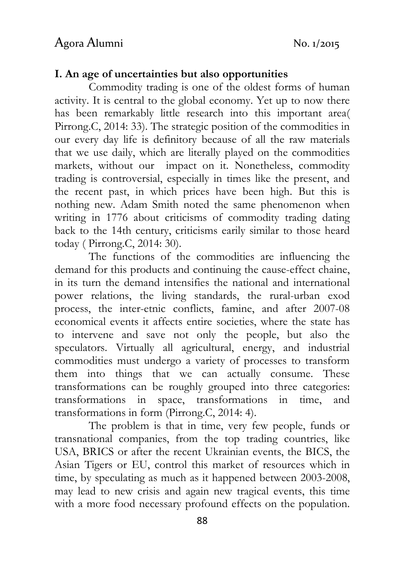### I. An age of uncertainties but also opportunities

 Commodity trading is one of the oldest forms of human activity. It is central to the global economy. Yet up to now there has been remarkably little research into this important area( Pirrong.C, 2014: 33). The strategic position of the commodities in our every day life is definitory because of all the raw materials that we use daily, which are literally played on the commodities markets, without our impact on it. Nonetheless, commodity trading is controversial, especially in times like the present, and the recent past, in which prices have been high. But this is nothing new. Adam Smith noted the same phenomenon when writing in 1776 about criticisms of commodity trading dating back to the 14th century, criticisms earily similar to those heard today ( Pirrong.C, 2014: 30).

 The functions of the commodities are influencing the demand for this products and continuing the cause-effect chaine, in its turn the demand intensifies the national and international power relations, the living standards, the rural-urban exod process, the inter-etnic conflicts, famine, and after 2007-08 economical events it affects entire societies, where the state has to intervene and save not only the people, but also the speculators. Virtually all agricultural, energy, and industrial commodities must undergo a variety of processes to transform them into things that we can actually consume. These transformations can be roughly grouped into three categories: transformations in space, transformations in time, and transformations in form (Pirrong.C, 2014: 4).

 The problem is that in time, very few people, funds or transnational companies, from the top trading countries, like USA, BRICS or after the recent Ukrainian events, the BICS, the Asian Tigers or EU, control this market of resources which in time, by speculating as much as it happened between 2003-2008, may lead to new crisis and again new tragical events, this time with a more food necessary profound effects on the population.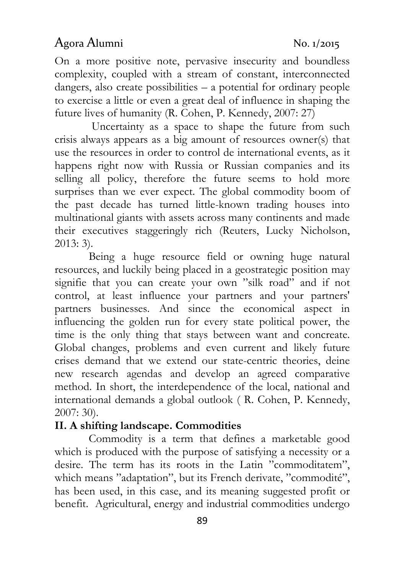On a more positive note, pervasive insecurity and boundless complexity, coupled with a stream of constant, interconnected dangers, also create possibilities – a potential for ordinary people to exercise a little or even a great deal of influence in shaping the future lives of humanity (R. Cohen, P. Kennedy, 2007: 27)

 Uncertainty as a space to shape the future from such crisis always appears as a big amount of resources owner(s) that use the resources in order to control de international events, as it happens right now with Russia or Russian companies and its selling all policy, therefore the future seems to hold more surprises than we ever expect. The global commodity boom of the past decade has turned little-known trading houses into multinational giants with assets across many continents and made their executives staggeringly rich (Reuters, Lucky Nicholson, 2013: 3).

 Being a huge resource field or owning huge natural resources, and luckily being placed in a geostrategic position may signifie that you can create your own "silk road" and if not control, at least influence your partners and your partners' partners businesses. And since the economical aspect in influencing the golden run for every state political power, the time is the only thing that stays between want and concreate. Global changes, problems and even current and likely future crises demand that we extend our state-centric theories, deine new research agendas and develop an agreed comparative method. In short, the interdependence of the local, national and international demands a global outlook ( R. Cohen, P. Kennedy, 2007: 30).

### II. A shifting landscape. Commodities

Commodity is a term that defines a marketable good which is produced with the purpose of satisfying a necessity or a desire. The term has its roots in the Latin "commoditatem", which means "adaptation", but its French derivate, "commodité", has been used, in this case, and its meaning suggested profit or benefit. Agricultural, energy and industrial commodities undergo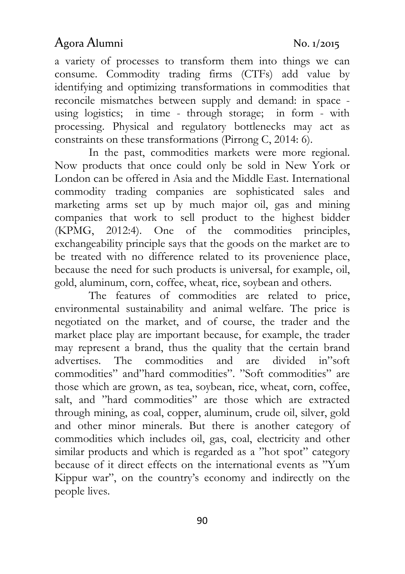a variety of processes to transform them into things we can consume. Commodity trading firms (CTFs) add value by identifying and optimizing transformations in commodities that reconcile mismatches between supply and demand: in space using logistics; in time - through storage; in form - with processing. Physical and regulatory bottlenecks may act as constraints on these transformations (Pirrong C, 2014: 6).

 In the past, commodities markets were more regional. Now products that once could only be sold in New York or London can be offered in Asia and the Middle East. International commodity trading companies are sophisticated sales and marketing arms set up by much major oil, gas and mining companies that work to sell product to the highest bidder (KPMG, 2012:4). One of the commodities principles, exchangeability principle says that the goods on the market are to be treated with no difference related to its provenience place, because the need for such products is universal, for example, oil, gold, aluminum, corn, coffee, wheat, rice, soybean and others.

 The features of commodities are related to price, environmental sustainability and animal welfare. The price is negotiated on the market, and of course, the trader and the market place play are important because, for example, the trader may represent a brand, thus the quality that the certain brand advertises. The commodities and are divided in"soft commodities" and"hard commodities". "Soft commodities" are those which are grown, as tea, soybean, rice, wheat, corn, coffee, salt, and "hard commodities" are those which are extracted through mining, as coal, copper, aluminum, crude oil, silver, gold and other minor minerals. But there is another category of commodities which includes oil, gas, coal, electricity and other similar products and which is regarded as a "hot spot" category because of it direct effects on the international events as "Yum Kippur war", on the country's economy and indirectly on the people lives.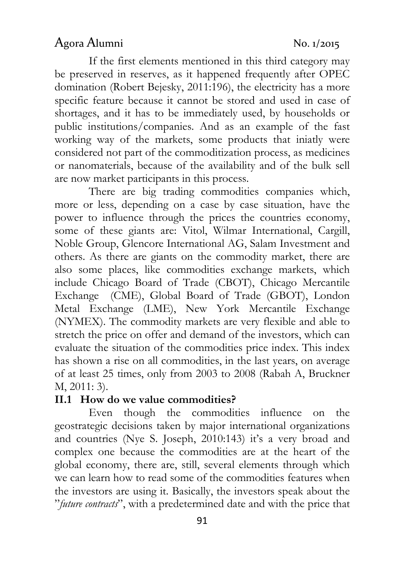If the first elements mentioned in this third category may be preserved in reserves, as it happened frequently after OPEC domination (Robert Bejesky, 2011:196), the electricity has a more specific feature because it cannot be stored and used in case of shortages, and it has to be immediately used, by households or public institutions/companies. And as an example of the fast working way of the markets, some products that iniatly were considered not part of the commoditization process, as medicines or nanomaterials, because of the availability and of the bulk sell are now market participants in this process.

 There are big trading commodities companies which, more or less, depending on a case by case situation, have the power to influence through the prices the countries economy, some of these giants are: Vitol, Wilmar International, Cargill, Noble Group, Glencore International AG, Salam Investment and others. As there are giants on the commodity market, there are also some places, like commodities exchange markets, which include Chicago Board of Trade (CBOT), Chicago Mercantile Exchange (CME), Global Board of Trade (GBOT), London Metal Exchange (LME), New York Mercantile Exchange (NYMEX). The commodity markets are very flexible and able to stretch the price on offer and demand of the investors, which can evaluate the situation of the commodities price index. This index has shown a rise on all commodities, in the last years, on average of at least 25 times, only from 2003 to 2008 (Rabah A, Bruckner M, 2011: 3).

### II.1 How do we value commodities?

 Even though the commodities influence on the geostrategic decisions taken by major international organizations and countries (Nye S. Joseph, 2010:143) it's a very broad and complex one because the commodities are at the heart of the global economy, there are, still, several elements through which we can learn how to read some of the commodities features when the investors are using it. Basically, the investors speak about the "future contracts", with a predetermined date and with the price that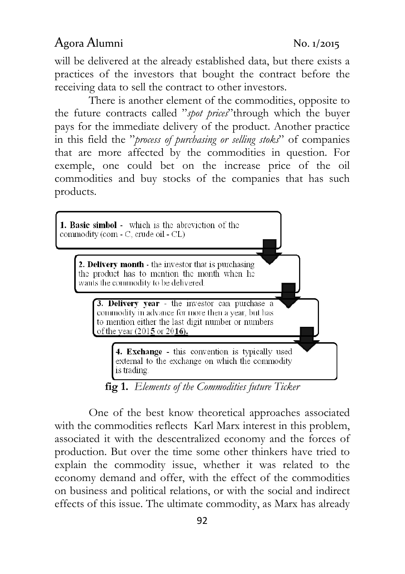will be delivered at the already established data, but there exists a practices of the investors that bought the contract before the receiving data to sell the contract to other investors.

 There is another element of the commodities, opposite to the future contracts called "spot prices" through which the buyer pays for the immediate delivery of the product. Another practice in this field the "process of purchasing or selling stoks" of companies that are more affected by the commodities in question. For exemple, one could bet on the increase price of the oil commodities and buy stocks of the companies that has such products.



fig 1. Elements of the Commodities future Ticker

 One of the best know theoretical approaches associated with the commodities reflects Karl Marx interest in this problem, associated it with the descentralized economy and the forces of production. But over the time some other thinkers have tried to explain the commodity issue, whether it was related to the economy demand and offer, with the effect of the commodities on business and political relations, or with the social and indirect effects of this issue. The ultimate commodity, as Marx has already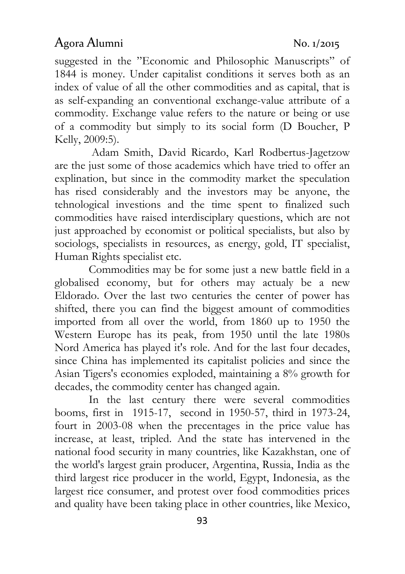suggested in the "Economic and Philosophic Manuscripts" of 1844 is money. Under capitalist conditions it serves both as an index of value of all the other commodities and as capital, that is as self-expanding an conventional exchange-value attribute of a commodity. Exchange value refers to the nature or being or use of a commodity but simply to its social form (D Boucher, P Kelly, 2009:5).

 Adam Smith, David Ricardo, Karl Rodbertus-Jagetzow are the just some of those academics which have tried to offer an explination, but since in the commodity market the speculation has rised considerably and the investors may be anyone, the tehnological investions and the time spent to finalized such commodities have raised interdisciplary questions, which are not just approached by economist or political specialists, but also by sociologs, specialists in resources, as energy, gold, IT specialist, Human Rights specialist etc.

 Commodities may be for some just a new battle field in a globalised economy, but for others may actualy be a new Eldorado. Over the last two centuries the center of power has shifted, there you can find the biggest amount of commodities imported from all over the world, from 1860 up to 1950 the Western Europe has its peak, from 1950 until the late 1980s Nord America has played it's role. And for the last four decades, since China has implemented its capitalist policies and since the Asian Tigers's economies exploded, maintaining a 8% growth for decades, the commodity center has changed again.

 In the last century there were several commodities booms, first in 1915-17, second in 1950-57, third in 1973-24, fourt in 2003-08 when the precentages in the price value has increase, at least, tripled. And the state has intervened in the national food security in many countries, like Kazakhstan, one of the world's largest grain producer, Argentina, Russia, India as the third largest rice producer in the world, Egypt, Indonesia, as the largest rice consumer, and protest over food commodities prices and quality have been taking place in other countries, like Mexico,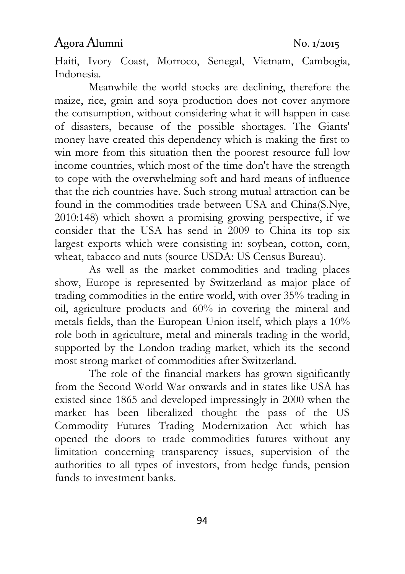Haiti, Ivory Coast, Morroco, Senegal, Vietnam, Cambogia, Indonesia.

 Meanwhile the world stocks are declining, therefore the maize, rice, grain and soya production does not cover anymore the consumption, without considering what it will happen in case of disasters, because of the possible shortages. The Giants' money have created this dependency which is making the first to win more from this situation then the poorest resource full low income countries, which most of the time don't have the strength to cope with the overwhelming soft and hard means of influence that the rich countries have. Such strong mutual attraction can be found in the commodities trade between USA and China(S.Nye, 2010:148) which shown a promising growing perspective, if we consider that the USA has send in 2009 to China its top six largest exports which were consisting in: soybean, cotton, corn, wheat, tabacco and nuts (source USDA: US Census Bureau).

 As well as the market commodities and trading places show, Europe is represented by Switzerland as major place of trading commodities in the entire world, with over 35% trading in oil, agriculture products and 60% in covering the mineral and metals fields, than the European Union itself, which plays a 10% role both in agriculture, metal and minerals trading in the world, supported by the London trading market, which its the second most strong market of commodities after Switzerland.

 The role of the financial markets has grown significantly from the Second World War onwards and in states like USA has existed since 1865 and developed impressingly in 2000 when the market has been liberalized thought the pass of the US Commodity Futures Trading Modernization Act which has opened the doors to trade commodities futures without any limitation concerning transparency issues, supervision of the authorities to all types of investors, from hedge funds, pension funds to investment banks.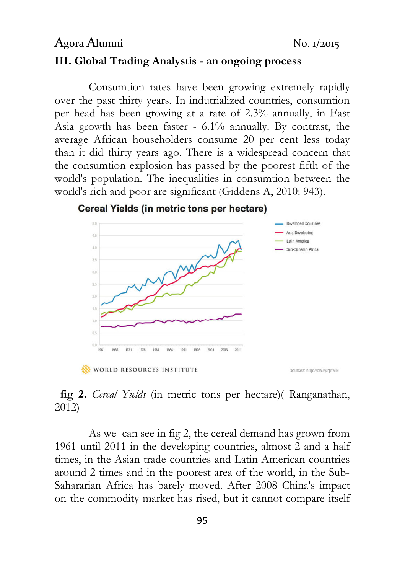# Agora Alumni No. 1/2015 III. Global Trading Analystis - an ongoing process

Consumtion rates have been growing extremely rapidly over the past thirty years. In indutrialized countries, consumtion per head has been growing at a rate of 2.3% annually, in East Asia growth has been faster - 6.1% annually. By contrast, the average African householders consume 20 per cent less today than it did thirty years ago. There is a widespread concern that the consumtion explosion has passed by the poorest fifth of the world's population. The inequalities in consumtion between the world's rich and poor are significant (Giddens A, 2010: 943).



### Cereal Yields (in metric tons per hectare)

WORLD RESOURCES INSTITUTE

Sources: http://ow.ly/rpfMN

### fig 2. Cereal Yields (in metric tons per hectare) (Ranganathan, 2012)

 As we can see in fig 2, the cereal demand has grown from 1961 until 2011 in the developing countries, almost 2 and a half times, in the Asian trade countries and Latin American countries around 2 times and in the poorest area of the world, in the Sub-Sahararian Africa has barely moved. After 2008 China's impact on the commodity market has rised, but it cannot compare itself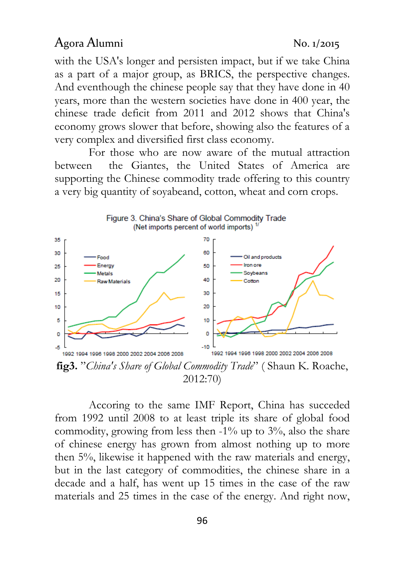with the USA's longer and persisten impact, but if we take China as a part of a major group, as BRICS, the perspective changes. And eventhough the chinese people say that they have done in 40 years, more than the western societies have done in 400 year, the chinese trade deficit from 2011 and 2012 shows that China's economy grows slower that before, showing also the features of a very complex and diversified first class economy.

 For those who are now aware of the mutual attraction between the Giantes, the United States of America are supporting the Chinese commodity trade offering to this country a very big quantity of soyabeand, cotton, wheat and corn crops.



2012:70)

 Accoring to the same IMF Report, China has succeded from 1992 until 2008 to at least triple its share of global food commodity, growing from less then  $-1\%$  up to  $3\%$ , also the share of chinese energy has grown from almost nothing up to more then 5%, likewise it happened with the raw materials and energy, but in the last category of commodities, the chinese share in a decade and a half, has went up 15 times in the case of the raw materials and 25 times in the case of the energy. And right now,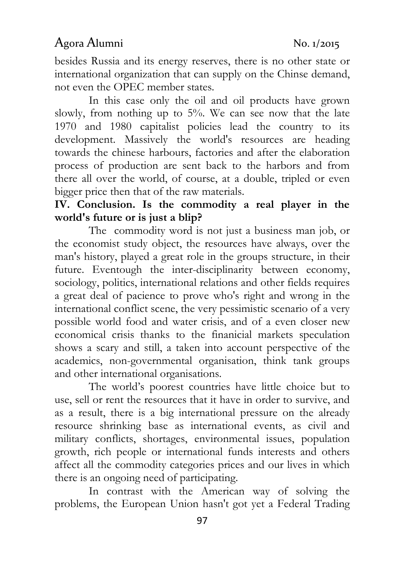besides Russia and its energy reserves, there is no other state or international organization that can supply on the Chinse demand, not even the OPEC member states.

 In this case only the oil and oil products have grown slowly, from nothing up to 5%. We can see now that the late 1970 and 1980 capitalist policies lead the country to its development. Massively the world's resources are heading towards the chinese harbours, factories and after the elaboration process of production are sent back to the harbors and from there all over the world, of course, at a double, tripled or even bigger price then that of the raw materials.

# IV. Conclusion. Is the commodity a real player in the world's future or is just a blip?

 The commodity word is not just a business man job, or the economist study object, the resources have always, over the man's history, played a great role in the groups structure, in their future. Eventough the inter-disciplinarity between economy, sociology, politics, international relations and other fields requires a great deal of pacience to prove who's right and wrong in the international conflict scene, the very pessimistic scenario of a very possible world food and water crisis, and of a even closer new economical crisis thanks to the finanicial markets speculation shows a scary and still, a taken into account perspective of the academics, non-governmental organisation, think tank groups and other international organisations.

 The world's poorest countries have little choice but to use, sell or rent the resources that it have in order to survive, and as a result, there is a big international pressure on the already resource shrinking base as international events, as civil and military conflicts, shortages, environmental issues, population growth, rich people or international funds interests and others affect all the commodity categories prices and our lives in which there is an ongoing need of participating.

 In contrast with the American way of solving the problems, the European Union hasn't got yet a Federal Trading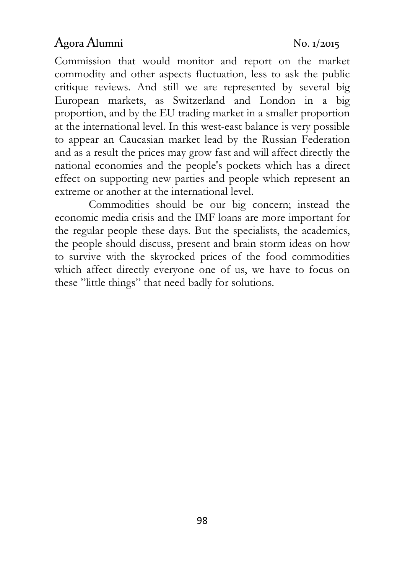Commission that would monitor and report on the market commodity and other aspects fluctuation, less to ask the public critique reviews. And still we are represented by several big European markets, as Switzerland and London in a big proportion, and by the EU trading market in a smaller proportion at the international level. In this west-east balance is very possible to appear an Caucasian market lead by the Russian Federation and as a result the prices may grow fast and will affect directly the national economies and the people's pockets which has a direct effect on supporting new parties and people which represent an extreme or another at the international level.

 Commodities should be our big concern; instead the economic media crisis and the IMF loans are more important for the regular people these days. But the specialists, the academics, the people should discuss, present and brain storm ideas on how to survive with the skyrocked prices of the food commodities which affect directly everyone one of us, we have to focus on these "little things" that need badly for solutions.